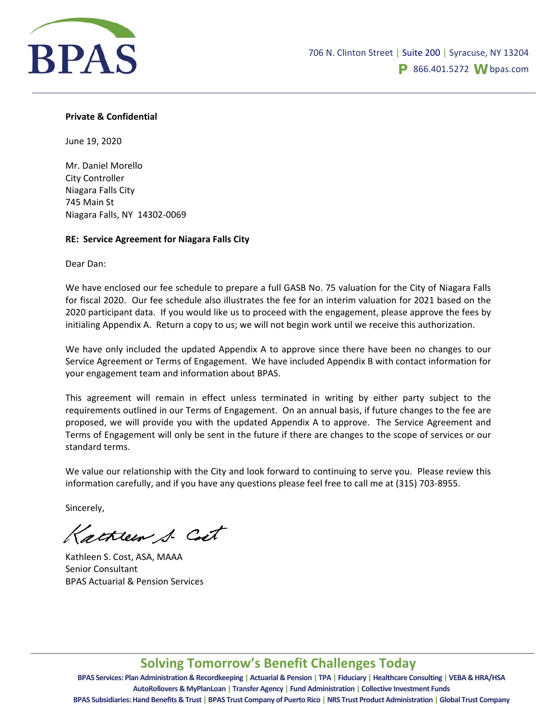

#### **Private & Confidential**

June 19, 2020

Mr. Daniel Morello City Controller Niagara Falls City 745 Main St Niagara Falls, NY 14302‐0069

### **RE: Service Agreement for Niagara Falls City**

Dear Dan:

We have enclosed our fee schedule to prepare a full GASB No. 75 valuation for the City of Niagara Falls for fiscal 2020. Our fee schedule also illustrates the fee for an interim valuation for 2021 based on the 2020 participant data. If you would like us to proceed with the engagement, please approve the fees by initialing Appendix A. Return a copy to us; we will not begin work until we receive this authorization.

We have only included the updated Appendix A to approve since there have been no changes to our Service Agreement or Terms of Engagement. We have included Appendix B with contact information for your engagement team and information about BPAS.

This agreement will remain in effect unless terminated in writing by either party subject to the requirements outlined in our Terms of Engagement. On an annual basis, if future changes to the fee are proposed, we will provide you with the updated Appendix A to approve. The Service Agreement and Terms of Engagement will only be sent in the future if there are changes to the scope of services or our standard terms.

We value our relationship with the City and look forward to continuing to serve you. Please review this information carefully, and if you have any questions please feel free to call me at (315) 703‐8955.

Sincerely,

Kathleen S. Cost

Kathleen S. Cost, ASA, MAAA Senior Consultant BPAS Actuarial & Pension Services

## **Solving Tomorrow's Benefit Challenges Today**

BPAS Services: Plan Administration & Recordkeeping | Actuarial & Pension | TPA | Fiduciary | Healthcare Consulting | VEBA & HRA/HSA **AutoRollovers & MyPlanLoan | Transfer Agency | Fund Administration | Collective Investment Funds** BPAS Subsidiaries: Hand Benefits & Trust | BPAS Trust Company of Puerto Rico | NRS Trust Product Administration | Global Trust Company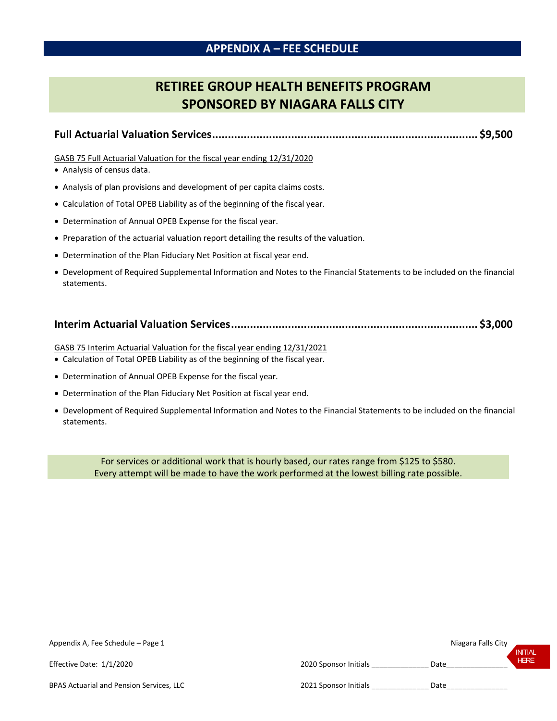### **APPENDIX A – FEE SCHEDULE**

# **RETIREE GROUP HEALTH BENEFITS PROGRAM SPONSORED BY NIAGARA FALLS CITY**

```
Full Actuarial Valuation Services.................................................................................... $9,500
```
GASB 75 Full Actuarial Valuation for the fiscal year ending 12/31/2020

- Analysis of census data.
- Analysis of plan provisions and development of per capita claims costs.
- Calculation of Total OPEB Liability as of the beginning of the fiscal year.
- Determination of Annual OPEB Expense for the fiscal year.
- Preparation of the actuarial valuation report detailing the results of the valuation.
- Determination of the Plan Fiduciary Net Position at fiscal year end.
- Development of Required Supplemental Information and Notes to the Financial Statements to be included on the financial statements.

|--|--|--|

GASB 75 Interim Actuarial Valuation for the fiscal year ending 12/31/2021

- Calculation of Total OPEB Liability as of the beginning of the fiscal year.
- Determination of Annual OPEB Expense for the fiscal year.
- Determination of the Plan Fiduciary Net Position at fiscal year end.
- Development of Required Supplemental Information and Notes to the Financial Statements to be included on the financial statements.

For services or additional work that is hourly based, our rates range from \$125 to \$580. Every attempt will be made to have the work performed at the lowest billing rate possible.

| Appendix A, Fee Schedule - Page 1        |                       | Niagara Falls City | <b>INITIAL</b> |
|------------------------------------------|-----------------------|--------------------|----------------|
| Effective Date: 1/1/2020                 | 2020 Sponsor Initials | Date               | <b>HERE</b>    |
| BPAS Actuarial and Pension Services, LLC | 2021 Sponsor Initials | Date               |                |